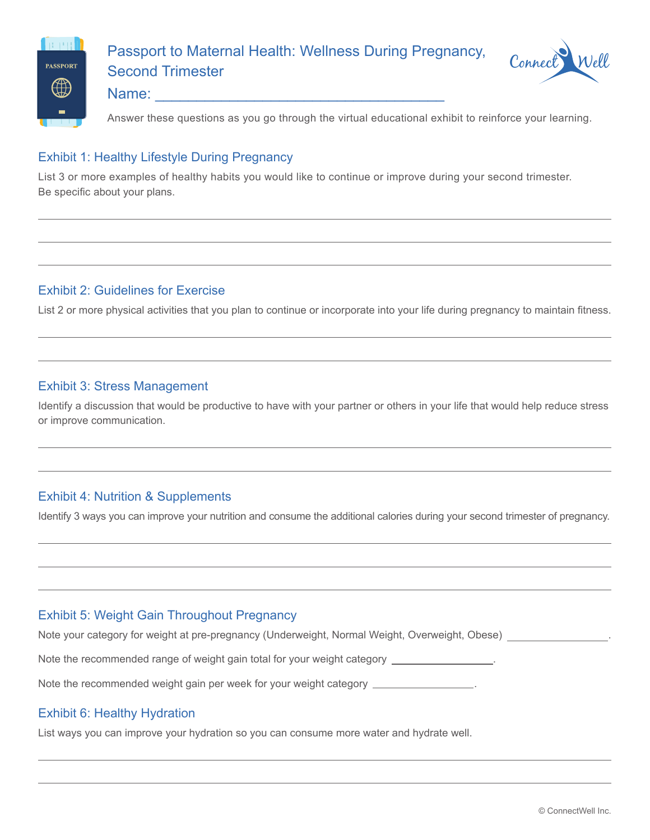

# Passport to Maternal Health: Wellness During Pregnancy, Second Trimester



#### Name:

Answer these questions as you go through the virtual educational exhibit to reinforce your learning.

#### Exhibit 1: Healthy Lifestyle During Pregnancy

List 3 or more examples of healthy habits you would like to continue or improve during your second trimester. Be specific about your plans.

# Exhibit 2: Guidelines for Exercise

List 2 or more physical activities that you plan to continue or incorporate into your life during pregnancy to maintain fitness.

#### Exhibit 3: Stress Management

Identify a discussion that would be productive to have with your partner or others in your life that would help reduce stress or improve communication.

# Exhibit 4: Nutrition & Supplements

Identify 3 ways you can improve your nutrition and consume the additional calories during your second trimester of pregnancy.

# Exhibit 5: Weight Gain Throughout Pregnancy

Note your category for weight at pre-pregnancy (Underweight, Normal Weight, Overweight, Obese) .

Note the recommended range of weight gain total for your weight category .

Note the recommended weight gain per week for your weight category .

# Exhibit 6: Healthy Hydration

List ways you can improve your hydration so you can consume more water and hydrate well.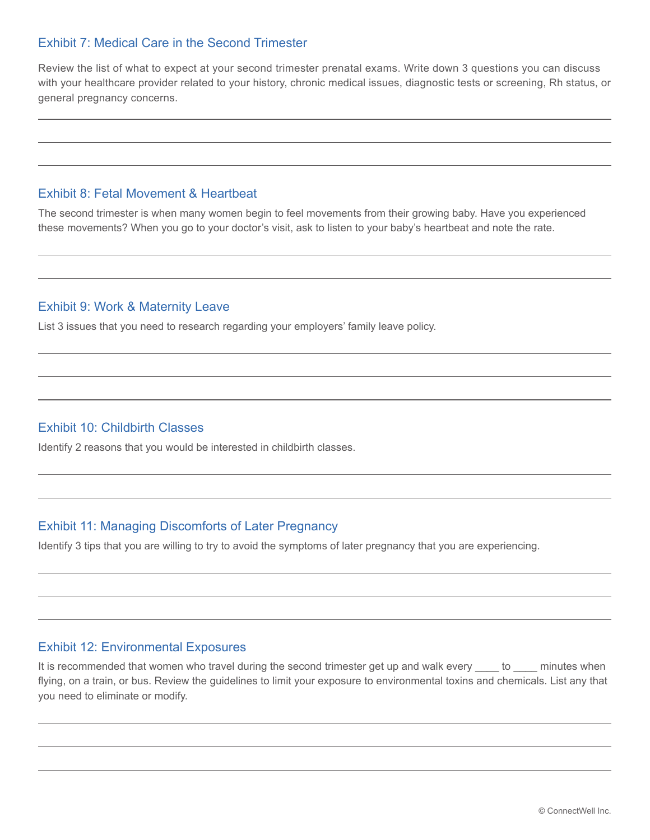# Exhibit 7: Medical Care in the Second Trimester

Review the list of what to expect at your second trimester prenatal exams. Write down 3 questions you can discuss with your healthcare provider related to your history, chronic medical issues, diagnostic tests or screening, Rh status, or general pregnancy concerns.

## Exhibit 8: Fetal Movement & Heartbeat

The second trimester is when many women begin to feel movements from their growing baby. Have you experienced these movements? When you go to your doctor's visit, ask to listen to your baby's heartbeat and note the rate.

#### Exhibit 9: Work & Maternity Leave

List 3 issues that you need to research regarding your employers' family leave policy.

#### Exhibit 10: Childbirth Classes

Identify 2 reasons that you would be interested in childbirth classes.

# Exhibit 11: Managing Discomforts of Later Pregnancy

Identify 3 tips that you are willing to try to avoid the symptoms of later pregnancy that you are experiencing.

#### Exhibit 12: Environmental Exposures

It is recommended that women who travel during the second trimester get up and walk every \_\_\_\_ to \_\_\_\_ minutes when flying, on a train, or bus. Review the guidelines to limit your exposure to environmental toxins and chemicals. List any that you need to eliminate or modify.